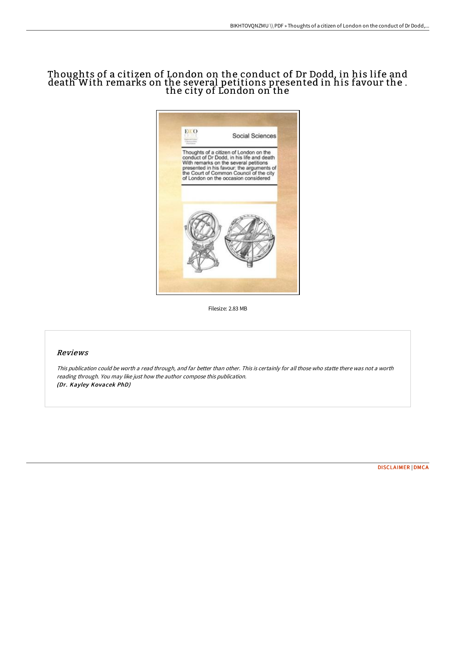## Thoughts of a citizen of London on the conduct of Dr Dodd, in his life and death With remarks on the several petitions presented in his favour the . the city of London on the



Filesize: 2.83 MB

## Reviews

This publication could be worth <sup>a</sup> read through, and far better than other. This is certainly for all those who statte there was not <sup>a</sup> worth reading through. You may like just how the author compose this publication. (Dr. Kayley Kovacek PhD)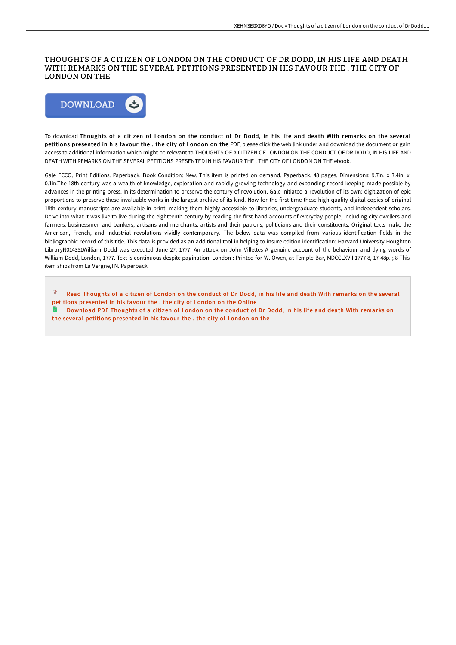## THOUGHTS OF A CITIZEN OF LONDON ON THE CONDUCT OF DR DODD, IN HIS LIFE AND DEATH WITH REMARKS ON THE SEVERAL PETITIONS PRESENTED IN HIS FAVOUR THE . THE CITY OF LONDON ON THE



To download Thoughts of a citizen of London on the conduct of Dr Dodd, in his life and death With remarks on the several petitions presented in his favour the . the city of London on the PDF, please click the web link under and download the document or gain access to additional information which might be relevant to THOUGHTS OF A CITIZEN OF LONDON ON THE CONDUCT OF DR DODD, IN HIS LIFE AND DEATH WITH REMARKS ON THE SEVERAL PETITIONS PRESENTED IN HIS FAVOUR THE . THE CITY OF LONDON ON THE ebook.

Gale ECCO, Print Editions. Paperback. Book Condition: New. This item is printed on demand. Paperback. 48 pages. Dimensions: 9.7in. x 7.4in. x 0.1in.The 18th century was a wealth of knowledge, exploration and rapidly growing technology and expanding record-keeping made possible by advances in the printing press. In its determination to preserve the century of revolution, Gale initiated a revolution of its own: digitization of epic proportions to preserve these invaluable works in the largest archive of its kind. Now for the first time these high-quality digital copies of original 18th century manuscripts are available in print, making them highly accessible to libraries, undergraduate students, and independent scholars. Delve into what it was like to live during the eighteenth century by reading the first-hand accounts of everyday people, including city dwellers and farmers, businessmen and bankers, artisans and merchants, artists and their patrons, politicians and their constituents. Original texts make the American, French, and Industrial revolutions vividly contemporary. The below data was compiled from various identification fields in the bibliographic record of this title. This data is provided as an additional tool in helping to insure edition identification: Harvard University Houghton LibraryN014351William Dodd was executed June 27, 1777. An attack on John Villettes A genuine account of the behaviour and dying words of William Dodd, London, 1777. Text is continuous despite pagination. London : Printed for W. Owen, at Temple-Bar, MDCCLXVII 1777 8, 17-48p. ; 8 This item ships from La Vergne,TN. Paperback.

 $\Box$ Read Thoughts of a citizen of London on the conduct of Dr Dodd, in his life and death With remarks on the several petitions [presented](http://albedo.media/thoughts-of-a-citizen-of-london-on-the-conduct-o.html) in his favour the . the city of London on the Online [Download](http://albedo.media/thoughts-of-a-citizen-of-london-on-the-conduct-o.html) PDF Thoughts of a citizen of London on the conduct of Dr Dodd, in his life and death With remarks on the several petitions presented in his favour the . the city of London on the